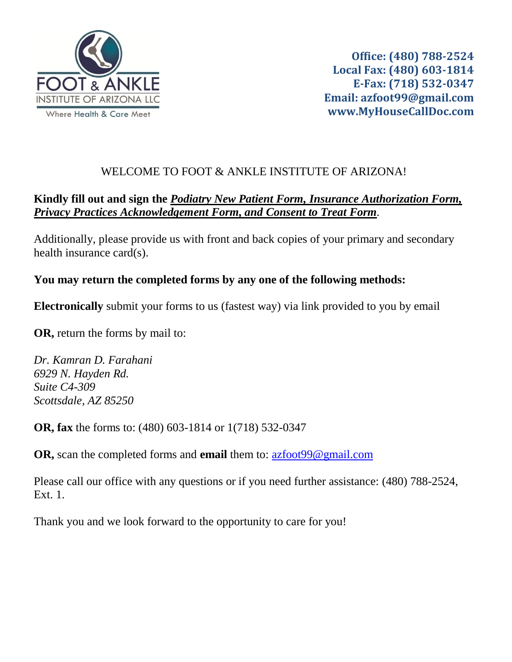

**Office: (480) 788-2524 Local Fax: (480) 603-1814 E-Fax: (718) 532-0347 Email: azfoot99@gmail.com www.MyHouseCallDoc.com**

# WELCOME TO FOOT & ANKLE INSTITUTE OF ARIZONA!

# **Kindly fill out and sign the** *Podiatry New Patient Form, Insurance Authorization Form, Privacy Practices Acknowledgement Form, and Consent to Treat Form.*

Additionally, please provide us with front and back copies of your primary and secondary health insurance card(s).

## **You may return the completed forms by any one of the following methods:**

**Electronically** submit your forms to us (fastest way) via link provided to you by email

**OR,** return the forms by mail to:

*Dr. Kamran D. Farahani 6929 N. Hayden Rd. Suite C4-309 Scottsdale, AZ 85250*

**OR, fax** the forms to: (480) 603-1814 or 1(718) 532-0347

**OR,** scan the completed forms and **email** them to: [azfoot99@gmail.com](mailto:azfoot99@gmail.com)

Please call our office with any questions or if you need further assistance: (480) 788-2524, Ext. 1.

Thank you and we look forward to the opportunity to care for you!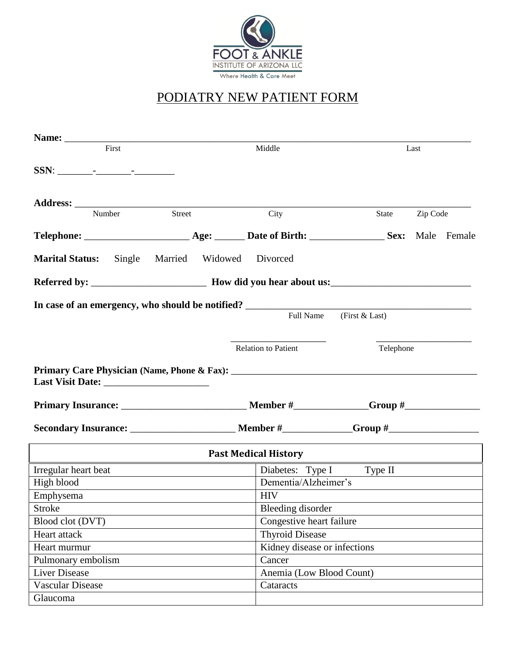

# PODIATRY NEW PATIENT FORM

| First                   |        |                                                            | Middle                   |                                                                      |                              | Last      |          |  |  |
|-------------------------|--------|------------------------------------------------------------|--------------------------|----------------------------------------------------------------------|------------------------------|-----------|----------|--|--|
|                         |        |                                                            |                          |                                                                      |                              |           |          |  |  |
|                         | Number | Street                                                     |                          | City                                                                 |                              | State     | Zip Code |  |  |
|                         |        |                                                            |                          |                                                                      |                              |           |          |  |  |
|                         |        |                                                            |                          |                                                                      |                              |           |          |  |  |
| <b>Marital Status:</b>  | Single |                                                            | Married Widowed Divorced |                                                                      |                              |           |          |  |  |
|                         |        |                                                            |                          |                                                                      |                              |           |          |  |  |
|                         |        |                                                            |                          |                                                                      |                              |           |          |  |  |
|                         |        |                                                            |                          | In case of an emergency, who should be notified?<br><b>Full Name</b> | (First $&$ Last)             |           |          |  |  |
|                         |        |                                                            |                          | <b>Relation to Patient</b>                                           |                              | Telephone |          |  |  |
|                         |        |                                                            |                          |                                                                      |                              |           |          |  |  |
|                         |        |                                                            |                          |                                                                      |                              |           |          |  |  |
|                         |        |                                                            |                          |                                                                      |                              |           |          |  |  |
|                         |        |                                                            |                          | <b>Past Medical History</b>                                          |                              |           |          |  |  |
| Irregular heart beat    |        | <u> 1989 - Johann Barn, amerikansk politiker (d. 1989)</u> |                          | Diabetes: Type I Type II                                             |                              |           |          |  |  |
| High blood              |        |                                                            |                          | Dementia/Alzheimer's                                                 |                              |           |          |  |  |
| Emphysema               |        |                                                            |                          | <b>HIV</b>                                                           |                              |           |          |  |  |
| Stroke                  |        |                                                            |                          | <b>Bleeding</b> disorder                                             |                              |           |          |  |  |
| Blood clot (DVT)        |        |                                                            |                          | Congestive heart failure                                             |                              |           |          |  |  |
| Heart attack            |        |                                                            |                          | <b>Thyroid Disease</b>                                               |                              |           |          |  |  |
| Heart murmur            |        |                                                            |                          |                                                                      | Kidney disease or infections |           |          |  |  |
| Pulmonary embolism      |        |                                                            |                          | Cancer                                                               |                              |           |          |  |  |
| Liver Disease           |        |                                                            |                          | Anemia (Low Blood Count)                                             |                              |           |          |  |  |
| <b>Vascular Disease</b> |        |                                                            |                          | Cataracts                                                            |                              |           |          |  |  |
| Glaucoma                |        |                                                            |                          |                                                                      |                              |           |          |  |  |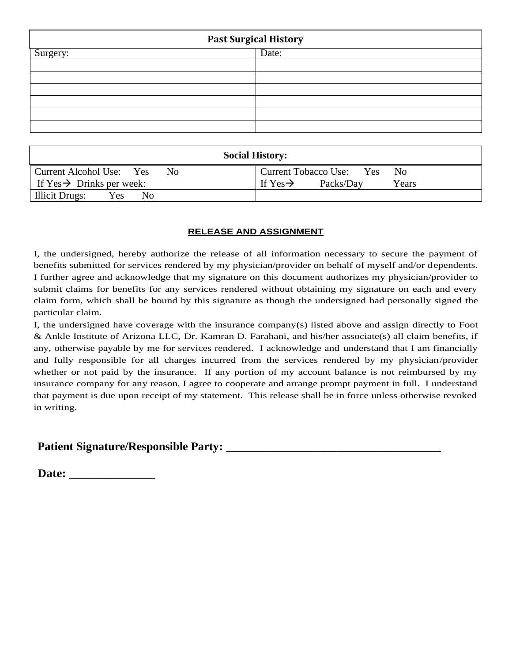| <b>Past Surgical History</b> |       |  |  |  |  |
|------------------------------|-------|--|--|--|--|
| Surgery:                     | Date: |  |  |  |  |
|                              |       |  |  |  |  |
|                              |       |  |  |  |  |
|                              |       |  |  |  |  |
|                              |       |  |  |  |  |
|                              |       |  |  |  |  |
|                              |       |  |  |  |  |

| <b>Social History:</b>                |                                            |  |  |  |  |  |
|---------------------------------------|--------------------------------------------|--|--|--|--|--|
| Current Alcohol Use: Yes<br>No.       | Current Tobacco Use: Yes<br>No             |  |  |  |  |  |
| If $Yes \rightarrow Drinks$ per week: | If Yes $\rightarrow$<br>Packs/Day<br>Years |  |  |  |  |  |
| Illicit Drugs:<br>Yes<br>Nο           |                                            |  |  |  |  |  |

#### **RELEASE AND ASSIGNMENT**

I, the undersigned, hereby authorize the release of all information necessary to secure the payment of benefits submitted for services rendered by my physician/provider on behalf of myself and/or dependents. I further agree and acknowledge that my signature on this document authorizes my physician/provider to submit claims for benefits for any services rendered without obtaining my signature on each and every claim form, which shall be bound by this signature as though the undersigned had personally signed the particular claim.

I, the undersigned have coverage with the insurance company(s) listed above and assign directly to Foot & Ankle Institute of Arizona LLC, Dr. Kamran D. Farahani, and his/her associate(s) all claim benefits, if any, otherwise payable by me for services rendered. I acknowledge and understand that I am financially and fully responsible for all charges incurred from the services rendered by my physician/provider whether or not paid by the insurance. If any portion of my account balance is not reimbursed by my insurance company for any reason, I agree to cooperate and arrange prompt payment in full. I understand that payment is due upon receipt of my statement. This release shall be in force unless otherwise revoked in writing.

## **Patient Signature/Responsible Party: \_\_\_\_\_\_\_\_\_\_\_\_\_\_\_\_\_\_\_\_\_\_\_\_\_\_\_\_\_\_\_\_\_\_\_**

**Date: \_\_\_\_\_\_\_\_\_\_\_\_\_\_**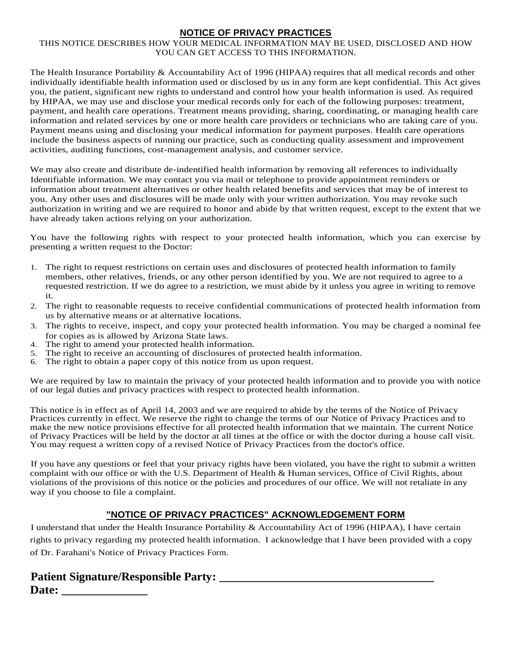### **NOTICE OF PRIVACY PRACTICES**

#### THIS NOTICE DESCRIBES HOW YOUR MEDICAL INFORMATION MAY BE USED, DISCLOSED AND HOW YOU CAN GET ACCESS TO THIS INFORMATION.

The Health Insurance Portability & Accountability Act of 1996 (HIPAA) requires that all medical records and other individually identifiable health information used or disclosed by us in any form are kept confidential. This Act gives you, the patient, significant new rights to understand and control how your health information is used. As required by HIPAA, we may use and disclose your medical records only for each of the following purposes: treatment, payment, and health care operations. Treatment means providing, sharing, coordinating, or managing health care information and related services by one or more health care providers or technicians who are taking care of you. Payment means using and disclosing your medical information for payment purposes. Health care operations include the business aspects of running our practice, such as conducting quality assessment and improvement activities, auditing functions, cost-management analysis, and customer service.

We may also create and distribute de-indentified health information by removing all references to individually Identifiable information. We may contact you via mail or telephone to provide appointment reminders or information about treatment alternatives or other health related benefits and services that may be of interest to you. Any other uses and disclosures will be made only with your written authorization. You may revoke such authorization in writing and we are required to honor and abide by that written request, except to the extent that we have already taken actions relying on your authorization.

You have the following rights with respect to your protected health information, which you can exercise by presenting a written request to the Doctor:

- 1. The right to request restrictions on certain uses and disclosures of protected health information to family members, other relatives, friends, or any other person identified by you. We are not required to agree to a requested restriction. If we do agree to a restriction, we must abide by it unless you agree in writing to remove it.
- 2. The right to reasonable requests to receive confidential communications of protected health information from us by alternative means or at alternative locations.
- 3. The rights to receive, inspect, and copy your protected health information. You may be charged a nominal fee for copies as is allowed by Arizona State laws.
- 4. The right to amend your protected health information.
- 5. The right to receive an accounting of disclosures of protected health information.
- The right to obtain a paper copy of this notice from us upon request.

We are required by law to maintain the privacy of your protected health information and to provide you with notice of our legal duties and privacy practices with respect to protected health information.

This notice is in effect as of April 14, 2003 and we are required to abide by the terms of the Notice of Privacy Practices currently in effect. We reserve the right to change the terms of our Notice of Privacy Practices and to make the new notice provisions effective for all protected health information that we maintain. The current Notice of Privacy Practices will be held by the doctor at all times at the office or with the doctor during a house call visit. You may request a written copy of a revised Notice of Privacy Practices from the doctor's office.

If you have any questions or feel that your privacy rights have been violated, you have the right to submit a written complaint with our office or with the U.S. Department of Health & Human services, Office of Civil Rights, about violations of the provisions of this notice or the policies and procedures of our office. We will not retaliate in any way if you choose to file a complaint.

## **"NOTICE OF PRIVACY PRACTICES" ACKNOWLEDGEMENT FORM**

I understand that under the Health Insurance Portability & Accountability Act of 1996 (HIPAA), I have certain rights to privacy regarding my protected health information. I acknowledge that I have been provided with a copy of Dr. Farahani's Notice of Privacy Practices Form.

## **Patient Signature/Responsible Party: \_\_\_\_\_\_\_\_\_\_\_\_\_\_\_\_\_\_\_\_\_\_\_\_\_\_\_\_\_\_\_\_\_\_\_ Date: \_\_\_\_\_\_\_\_\_\_\_\_\_\_**